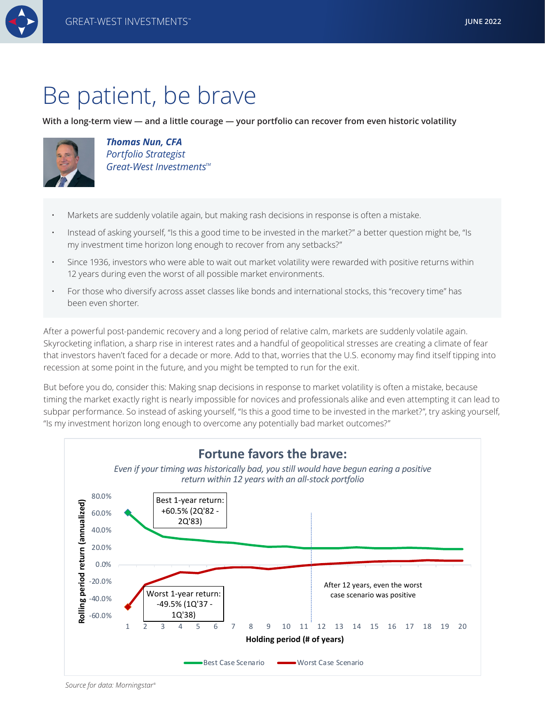

**With a long-term view — and a little courage — your portfolio can recover from even historic volatility**



*Thomas Nun, CFA Portfolio Strategist Great-West Investments<sup>™</sup>* 

- Markets are suddenly volatile again, but making rash decisions in response is often a mistake.
- Instead of asking yourself, "Is this a good time to be invested in the market?" a better question might be, "Is my investment time horizon long enough to recover from any setbacks?"
- Since 1936, investors who were able to wait out market volatility were rewarded with positive returns within 12 years during even the worst of all possible market environments.
- For those who diversify across asset classes like bonds and international stocks, this "recovery time" has been even shorter.

After a powerful post-pandemic recovery and a long period of relative calm, markets are suddenly volatile again. Skyrocketing inflation, a sharp rise in interest rates and a handful of geopolitical stresses are creating a climate of fear that investors haven't faced for a decade or more. Add to that, worries that the U.S. economy may find itself tipping into recession at some point in the future, and you might be tempted to run for the exit.

But before you do, consider this: Making snap decisions in response to market volatility is often a mistake, because timing the market exactly right is nearly impossible for novices and professionals alike and even attempting it can lead to subpar performance. So instead of asking yourself, "Is this a good time to be invested in the market?", try asking yourself, "Is my investment horizon long enough to overcome any potentially bad market outcomes?"



*Source for data: Morningstar®*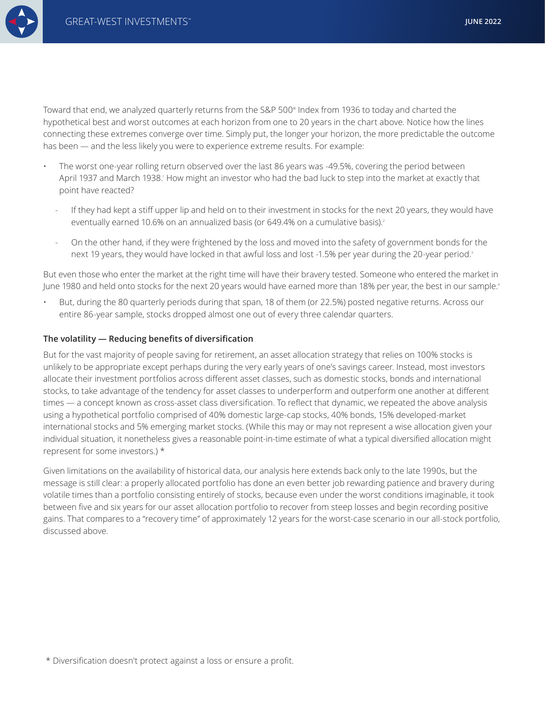

Toward that end, we analyzed quarterly returns from the S&P 500® Index from 1936 to today and charted the hypothetical best and worst outcomes at each horizon from one to 20 years in the chart above. Notice how the lines connecting these extremes converge over time. Simply put, the longer your horizon, the more predictable the outcome has been — and the less likely you were to experience extreme results. For example:

- The worst one-year rolling return observed over the last 86 years was -49.5%, covering the period between April 1937 and March 1938.' How might an investor who had the bad luck to step into the market at exactly that point have reacted?
	- If they had kept a stiff upper lip and held on to their investment in stocks for the next 20 years, they would have eventually earned 10.6% on an annualized basis (or 649.4% on a cumulative basis).<sup>2</sup>
	- On the other hand, if they were frightened by the loss and moved into the safety of government bonds for the next 19 years, they would have locked in that awful loss and lost -1.5% per year during the 20-year period.<sup>3</sup>

But even those who enter the market at the right time will have their bravery tested. Someone who entered the market in June 1980 and held onto stocks for the next 20 years would have earned more than 18% per year, the best in our sample.<sup>4</sup>

• But, during the 80 quarterly periods during that span, 18 of them (or 22.5%) posted negative returns. Across our entire 86-year sample, stocks dropped almost one out of every three calendar quarters.

## **The volatility — Reducing benefits of diversification**

But for the vast majority of people saving for retirement, an asset allocation strategy that relies on 100% stocks is unlikely to be appropriate except perhaps during the very early years of one's savings career. Instead, most investors allocate their investment portfolios across different asset classes, such as domestic stocks, bonds and international stocks, to take advantage of the tendency for asset classes to underperform and outperform one another at different times — a concept known as cross-asset class diversification. To reflect that dynamic, we repeated the above analysis using a hypothetical portfolio comprised of 40% domestic large-cap stocks, 40% bonds, 15% developed-market international stocks and 5% emerging market stocks. (While this may or may not represent a wise allocation given your individual situation, it nonetheless gives a reasonable point-in-time estimate of what a typical diversified allocation might represent for some investors.) \*

Given limitations on the availability of historical data, our analysis here extends back only to the late 1990s, but the message is still clear: a properly allocated portfolio has done an even better job rewarding patience and bravery during volatile times than a portfolio consisting entirely of stocks, because even under the worst conditions imaginable, it took between five and six years for our asset allocation portfolio to recover from steep losses and begin recording positive gains. That compares to a "recovery time" of approximately 12 years for the worst-case scenario in our all-stock portfolio, discussed above.